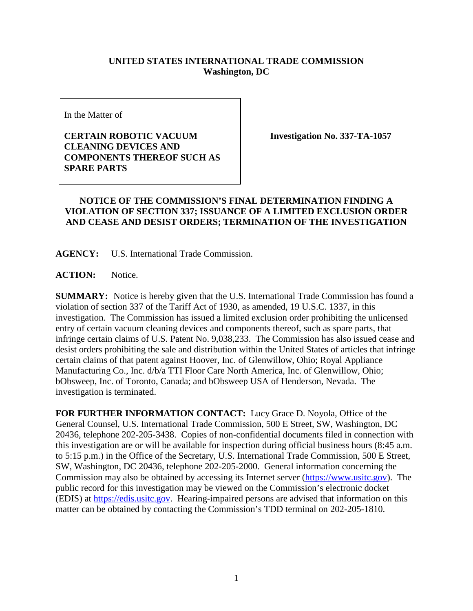## **UNITED STATES INTERNATIONAL TRADE COMMISSION Washington, DC**

In the Matter of

## **CERTAIN ROBOTIC VACUUM CLEANING DEVICES AND COMPONENTS THEREOF SUCH AS SPARE PARTS**

**Investigation No. 337-TA-1057**

## **NOTICE OF THE COMMISSION'S FINAL DETERMINATION FINDING A VIOLATION OF SECTION 337; ISSUANCE OF A LIMITED EXCLUSION ORDER AND CEASE AND DESIST ORDERS; TERMINATION OF THE INVESTIGATION**

**AGENCY:** U.S. International Trade Commission.

**ACTION:** Notice.

**SUMMARY:** Notice is hereby given that the U.S. International Trade Commission has found a violation of section 337 of the Tariff Act of 1930, as amended, 19 U.S.C. 1337, in this investigation. The Commission has issued a limited exclusion order prohibiting the unlicensed entry of certain vacuum cleaning devices and components thereof, such as spare parts, that infringe certain claims of U.S. Patent No. 9,038,233. The Commission has also issued cease and desist orders prohibiting the sale and distribution within the United States of articles that infringe certain claims of that patent against Hoover, Inc. of Glenwillow, Ohio; Royal Appliance Manufacturing Co., Inc. d/b/a TTI Floor Care North America, Inc. of Glenwillow, Ohio; bObsweep, Inc. of Toronto, Canada; and bObsweep USA of Henderson, Nevada. The investigation is terminated.

**FOR FURTHER INFORMATION CONTACT:** Lucy Grace D. Noyola, Office of the General Counsel, U.S. International Trade Commission, 500 E Street, SW, Washington, DC 20436, telephone 202-205-3438. Copies of non-confidential documents filed in connection with this investigation are or will be available for inspection during official business hours (8:45 a.m. to 5:15 p.m.) in the Office of the Secretary, U.S. International Trade Commission, 500 E Street, SW, Washington, DC 20436, telephone 202-205-2000. General information concerning the Commission may also be obtained by accessing its Internet server [\(https://www.usitc.gov\)](https://www.usitc.gov/). The public record for this investigation may be viewed on the Commission's electronic docket (EDIS) at [https://edis.usitc.gov.](http://edis.usitc.gov/) Hearing-impaired persons are advised that information on this matter can be obtained by contacting the Commission's TDD terminal on 202-205-1810.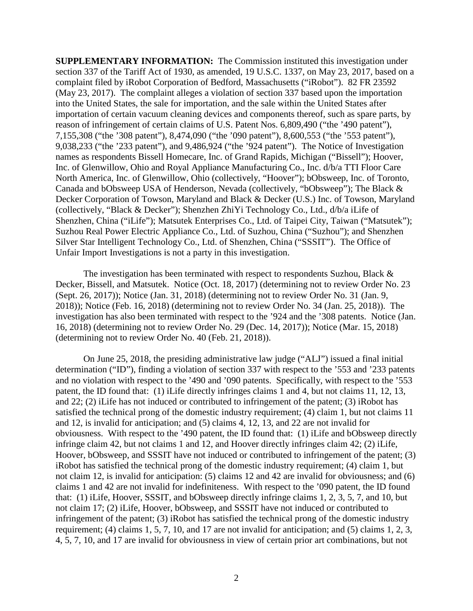**SUPPLEMENTARY INFORMATION:** The Commission instituted this investigation under section 337 of the Tariff Act of 1930, as amended, 19 U.S.C. 1337, on May 23, 2017, based on a complaint filed by iRobot Corporation of Bedford, Massachusetts ("iRobot"). 82 FR 23592 (May 23, 2017). The complaint alleges a violation of section 337 based upon the importation into the United States, the sale for importation, and the sale within the United States after importation of certain vacuum cleaning devices and components thereof, such as spare parts, by reason of infringement of certain claims of U.S. Patent Nos. 6,809,490 ("the '490 patent"), 7,155,308 ("the '308 patent"), 8,474,090 ("the '090 patent"), 8,600,553 ("the '553 patent"), 9,038,233 ("the '233 patent"), and 9,486,924 ("the '924 patent"). The Notice of Investigation names as respondents Bissell Homecare, Inc. of Grand Rapids, Michigan ("Bissell"); Hoover, Inc. of Glenwillow, Ohio and Royal Appliance Manufacturing Co., Inc. d/b/a TTI Floor Care North America, Inc. of Glenwillow, Ohio (collectively, "Hoover"); bObsweep, Inc. of Toronto, Canada and bObsweep USA of Henderson, Nevada (collectively, "bObsweep"); The Black & Decker Corporation of Towson, Maryland and Black & Decker (U.S.) Inc. of Towson, Maryland (collectively, "Black & Decker"); Shenzhen ZhiYi Technology Co., Ltd., d/b/a iLife of Shenzhen, China ("iLife"); Matsutek Enterprises Co., Ltd. of Taipei City, Taiwan ("Matsutek"); Suzhou Real Power Electric Appliance Co., Ltd. of Suzhou, China ("Suzhou"); and Shenzhen Silver Star Intelligent Technology Co., Ltd. of Shenzhen, China ("SSSIT"). The Office of Unfair Import Investigations is not a party in this investigation.

The investigation has been terminated with respect to respondents Suzhou, Black  $\&$ Decker, Bissell, and Matsutek. Notice (Oct. 18, 2017) (determining not to review Order No. 23 (Sept. 26, 2017)); Notice (Jan. 31, 2018) (determining not to review Order No. 31 (Jan. 9, 2018)); Notice (Feb. 16, 2018) (determining not to review Order No. 34 (Jan. 25, 2018)). The investigation has also been terminated with respect to the '924 and the '308 patents. Notice (Jan. 16, 2018) (determining not to review Order No. 29 (Dec. 14, 2017)); Notice (Mar. 15, 2018) (determining not to review Order No. 40 (Feb. 21, 2018)).

On June 25, 2018, the presiding administrative law judge ("ALJ") issued a final initial determination ("ID"), finding a violation of section 337 with respect to the '553 and '233 patents and no violation with respect to the '490 and '090 patents. Specifically, with respect to the '553 patent, the ID found that: (1) iLife directly infringes claims 1 and 4, but not claims 11, 12, 13, and 22; (2) iLife has not induced or contributed to infringement of the patent; (3) iRobot has satisfied the technical prong of the domestic industry requirement; (4) claim 1, but not claims 11 and 12, is invalid for anticipation; and (5) claims 4, 12, 13, and 22 are not invalid for obviousness. With respect to the '490 patent, the ID found that: (1) iLife and bObsweep directly infringe claim 42, but not claims 1 and 12, and Hoover directly infringes claim 42; (2) iLife, Hoover, bObsweep, and SSSIT have not induced or contributed to infringement of the patent; (3) iRobot has satisfied the technical prong of the domestic industry requirement; (4) claim 1, but not claim 12, is invalid for anticipation: (5) claims 12 and 42 are invalid for obviousness; and (6) claims 1 and 42 are not invalid for indefiniteness. With respect to the '090 patent, the ID found that: (1) iLife, Hoover, SSSIT, and bObsweep directly infringe claims 1, 2, 3, 5, 7, and 10, but not claim 17; (2) iLife, Hoover, bObsweep, and SSSIT have not induced or contributed to infringement of the patent; (3) iRobot has satisfied the technical prong of the domestic industry requirement; (4) claims 1, 5, 7, 10, and 17 are not invalid for anticipation; and (5) claims 1, 2, 3, 4, 5, 7, 10, and 17 are invalid for obviousness in view of certain prior art combinations, but not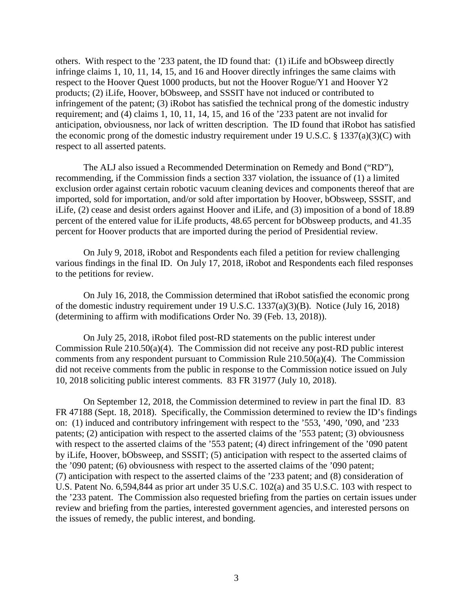others. With respect to the '233 patent, the ID found that: (1) iLife and bObsweep directly infringe claims 1, 10, 11, 14, 15, and 16 and Hoover directly infringes the same claims with respect to the Hoover Quest 1000 products, but not the Hoover Rogue/Y1 and Hoover Y2 products; (2) iLife, Hoover, bObsweep, and SSSIT have not induced or contributed to infringement of the patent; (3) iRobot has satisfied the technical prong of the domestic industry requirement; and (4) claims 1, 10, 11, 14, 15, and 16 of the '233 patent are not invalid for anticipation, obviousness, nor lack of written description. The ID found that iRobot has satisfied the economic prong of the domestic industry requirement under 19 U.S.C. § 1337(a)(3)(C) with respect to all asserted patents.

The ALJ also issued a Recommended Determination on Remedy and Bond ("RD"), recommending, if the Commission finds a section 337 violation, the issuance of (1) a limited exclusion order against certain robotic vacuum cleaning devices and components thereof that are imported, sold for importation, and/or sold after importation by Hoover, bObsweep, SSSIT, and iLife, (2) cease and desist orders against Hoover and iLife, and (3) imposition of a bond of 18.89 percent of the entered value for iLife products, 48.65 percent for bObsweep products, and 41.35 percent for Hoover products that are imported during the period of Presidential review.

On July 9, 2018, iRobot and Respondents each filed a petition for review challenging various findings in the final ID. On July 17, 2018, iRobot and Respondents each filed responses to the petitions for review.

On July 16, 2018, the Commission determined that iRobot satisfied the economic prong of the domestic industry requirement under 19 U.S.C. 1337(a)(3)(B). Notice (July 16, 2018) (determining to affirm with modifications Order No. 39 (Feb. 13, 2018)).

On July 25, 2018, iRobot filed post-RD statements on the public interest under Commission Rule 210.50(a)(4). The Commission did not receive any post-RD public interest comments from any respondent pursuant to Commission Rule 210.50(a)(4). The Commission did not receive comments from the public in response to the Commission notice issued on July 10, 2018 soliciting public interest comments. 83 FR 31977 (July 10, 2018).

On September 12, 2018, the Commission determined to review in part the final ID. 83 FR 47188 (Sept. 18, 2018). Specifically, the Commission determined to review the ID's findings on: (1) induced and contributory infringement with respect to the '553, '490, '090, and '233 patents; (2) anticipation with respect to the asserted claims of the '553 patent; (3) obviousness with respect to the asserted claims of the '553 patent; (4) direct infringement of the '090 patent by iLife, Hoover, bObsweep, and SSSIT; (5) anticipation with respect to the asserted claims of the '090 patent; (6) obviousness with respect to the asserted claims of the '090 patent; (7) anticipation with respect to the asserted claims of the '233 patent; and (8) consideration of U.S. Patent No. 6,594,844 as prior art under 35 U.S.C. 102(a) and 35 U.S.C. 103 with respect to the '233 patent. The Commission also requested briefing from the parties on certain issues under review and briefing from the parties, interested government agencies, and interested persons on the issues of remedy, the public interest, and bonding.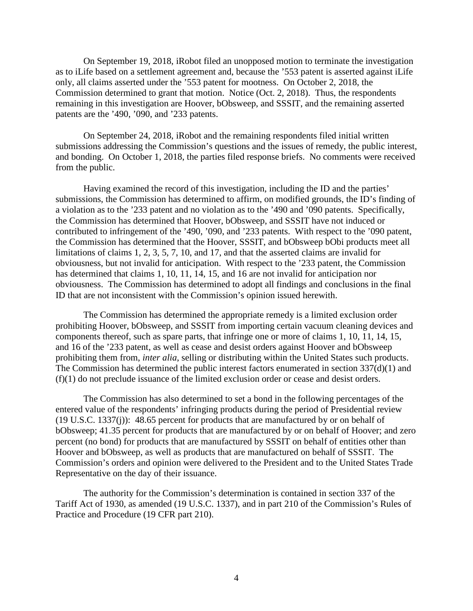On September 19, 2018, iRobot filed an unopposed motion to terminate the investigation as to iLife based on a settlement agreement and, because the '553 patent is asserted against iLife only, all claims asserted under the '553 patent for mootness. On October 2, 2018, the Commission determined to grant that motion. Notice (Oct. 2, 2018). Thus, the respondents remaining in this investigation are Hoover, bObsweep, and SSSIT, and the remaining asserted patents are the '490, '090, and '233 patents.

On September 24, 2018, iRobot and the remaining respondents filed initial written submissions addressing the Commission's questions and the issues of remedy, the public interest, and bonding. On October 1, 2018, the parties filed response briefs. No comments were received from the public.

Having examined the record of this investigation, including the ID and the parties' submissions, the Commission has determined to affirm, on modified grounds, the ID's finding of a violation as to the '233 patent and no violation as to the '490 and '090 patents. Specifically, the Commission has determined that Hoover, bObsweep, and SSSIT have not induced or contributed to infringement of the '490, '090, and '233 patents. With respect to the '090 patent, the Commission has determined that the Hoover, SSSIT, and bObsweep bObi products meet all limitations of claims 1, 2, 3, 5, 7, 10, and 17, and that the asserted claims are invalid for obviousness, but not invalid for anticipation. With respect to the '233 patent, the Commission has determined that claims 1, 10, 11, 14, 15, and 16 are not invalid for anticipation nor obviousness. The Commission has determined to adopt all findings and conclusions in the final ID that are not inconsistent with the Commission's opinion issued herewith.

The Commission has determined the appropriate remedy is a limited exclusion order prohibiting Hoover, bObsweep, and SSSIT from importing certain vacuum cleaning devices and components thereof, such as spare parts, that infringe one or more of claims 1, 10, 11, 14, 15, and 16 of the '233 patent, as well as cease and desist orders against Hoover and bObsweep prohibiting them from, *inter alia*, selling or distributing within the United States such products. The Commission has determined the public interest factors enumerated in section 337(d)(1) and (f)(1) do not preclude issuance of the limited exclusion order or cease and desist orders.

The Commission has also determined to set a bond in the following percentages of the entered value of the respondents' infringing products during the period of Presidential review (19 U.S.C. 1337(j)): 48.65 percent for products that are manufactured by or on behalf of bObsweep; 41.35 percent for products that are manufactured by or on behalf of Hoover; and zero percent (no bond) for products that are manufactured by SSSIT on behalf of entities other than Hoover and bObsweep, as well as products that are manufactured on behalf of SSSIT. The Commission's orders and opinion were delivered to the President and to the United States Trade Representative on the day of their issuance.

The authority for the Commission's determination is contained in section 337 of the Tariff Act of 1930, as amended (19 U.S.C. 1337), and in part 210 of the Commission's Rules of Practice and Procedure (19 CFR part 210).